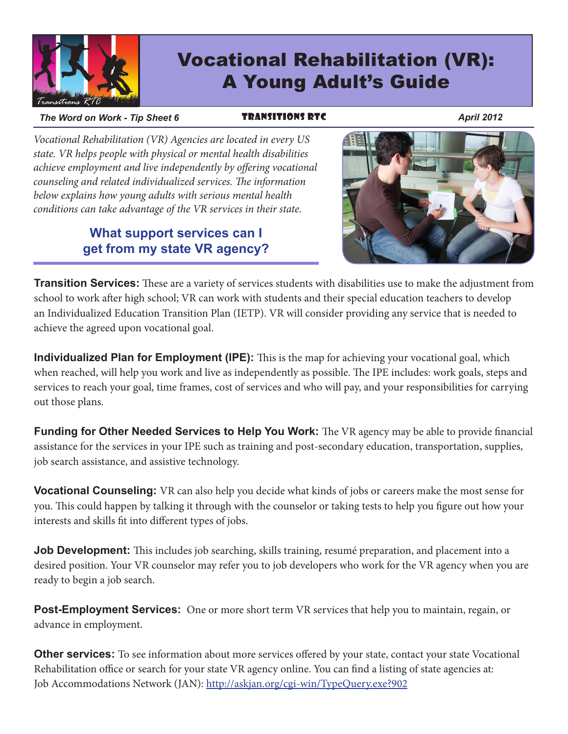

# Vocational Rehabilitation (VR): A Young Adult's Guide

#### *The Word on Work - Tip Sheet 6* **TRANSITIONS RTC** April 2012

*Vocational Rehabilitation (VR) Agencies are located in every US state. VR helps people with physical or mental health disabilities achieve employment and live independently by offering vocational counseling and related individualized services. The information below explains how young adults with serious mental health conditions can take advantage of the VR services in their state.*

#### **What support services can I get from my state VR agency?**



**Transition Services:** These are a variety of services students with disabilities use to make the adjustment from school to work after high school; VR can work with students and their special education teachers to develop an Individualized Education Transition Plan (IETP). VR will consider providing any service that is needed to achieve the agreed upon vocational goal.

**Individualized Plan for Employment (IPE):** This is the map for achieving your vocational goal, which when reached, will help you work and live as independently as possible. The IPE includes: work goals, steps and services to reach your goal, time frames, cost of services and who will pay, and your responsibilities for carrying out those plans.

**Funding for Other Needed Services to Help You Work:** The VR agency may be able to provide financial assistance for the services in your IPE such as training and post-secondary education, transportation, supplies, job search assistance, and assistive technology.

**Vocational Counseling:** VR can also help you decide what kinds of jobs or careers make the most sense for you. This could happen by talking it through with the counselor or taking tests to help you figure out how your interests and skills fit into different types of jobs.

**Job Development:** This includes job searching, skills training, resumé preparation, and placement into a desired position. Your VR counselor may refer you to job developers who work for the VR agency when you are ready to begin a job search.

**Post-Employment Services:** One or more short term VR services that help you to maintain, regain, or advance in employment.

**Other services:** To see information about more services offered by your state, contact your state Vocational Rehabilitation office or search for your state VR agency online. You can find a listing of state agencies at: Job Accommodations Network (JAN): http://askjan.org/cgi-win/TypeQuery.exe?902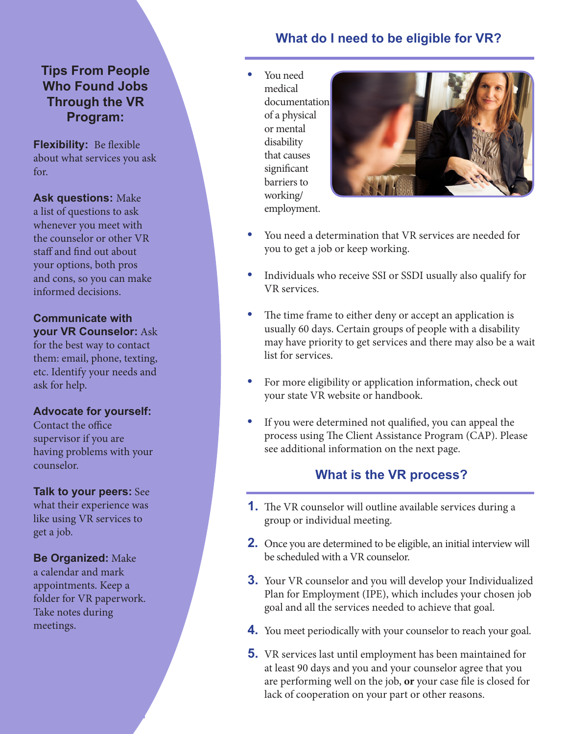#### **Tips From People Who Found Jobs Through the VR Program:**

**Flexibility:** Be flexible about what services you ask for.

**Ask questions:** Make a list of questions to ask whenever you meet with the counselor or other VR staff and find out about your options, both pros and cons, so you can make informed decisions.

**Communicate with your VR Counselor:** Ask

for the best way to contact them: email, phone, texting, etc. Identify your needs and ask for help.

#### **Advocate for yourself:**

Contact the office supervisor if you are having problems with your counselor.

**Talk to your peers:** See what their experience was like using VR services to get a job.

**Be Organized:** Make a calendar and mark appointments. Keep a folder for VR paperwork. Take notes during meetings.

## **What do I need to be eligible for VR?**

**•**  You need medical documentation of a physical or mental disability that causes significant barriers to working/ employment.



- You need a determination that VR services are needed for you to get a job or keep working.
- Individuals who receive SSI or SSDI usually also qualify for VR services.
- The time frame to either deny or accept an application is usually 60 days. Certain groups of people with a disability may have priority to get services and there may also be a wait list for services.
- For more eligibility or application information, check out your state VR website or handbook.
- If you were determined not qualified, you can appeal the process using The Client Assistance Program (CAP). Please see additional information on the next page.

### **What is the VR process?**

- **1.** The VR counselor will outline available services during a group or individual meeting.
- **2.** Once you are determined to be eligible, an initial interview will be scheduled with a VR counselor.
- **3.** Your VR counselor and you will develop your Individualized Plan for Employment (IPE), which includes your chosen job goal and all the services needed to achieve that goal.
- **4.** You meet periodically with your counselor to reach your goal.
- **5.** VR services last until employment has been maintained for at least 90 days and you and your counselor agree that you are performing well on the job, **or** your case file is closed for lack of cooperation on your part or other reasons.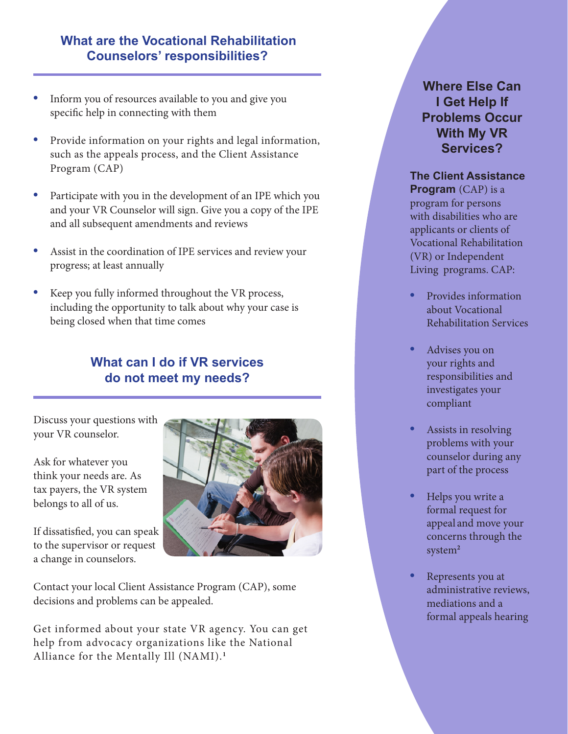#### **What are the Vocational Rehabilitation Counselors' responsibilities?**

- Inform you of resources available to you and give you specific help in connecting with them
- Provide information on your rights and legal information, such as the appeals process, and the Client Assistance Program (CAP)
- Participate with you in the development of an IPE which you and your VR Counselor will sign. Give you a copy of the IPE and all subsequent amendments and reviews
- Assist in the coordination of IPE services and review your progress; at least annually
- Keep you fully informed throughout the VR process, including the opportunity to talk about why your case is being closed when that time comes

# **What can I do if VR services do not meet my needs?**

Discuss your questions with your VR counselor.

Ask for whatever you think your needs are. As tax payers, the VR system belongs to all of us.

If dissatisfied, you can speak to the supervisor or request a change in counselors.



Contact your local Client Assistance Program (CAP), some decisions and problems can be appealed.

Get informed about your state VR agency. You can get help from advocacy organizations like the National Alliance for the Mentally Ill (NAMI).**<sup>1</sup>**

#### **Where Else Can I Get Help If Problems Occur With My VR Services?**

#### **The Client Assistance**

**Program** (CAP) is a program for persons with disabilities who are applicants or clients of Vocational Rehabilitation (VR) or Independent Living programs. CAP:

- **Provides information** about Vocational Rehabilitation Services
- Advises you on your rights and responsibilities and investigates your compliant
- Assists in resolving problems with your counselor during any part of the process
- **Helps** you write a formal request for appeal and move your concerns through the system**<sup>2</sup>**
- **Represents you at** administrative reviews, mediations and a formal appeals hearing